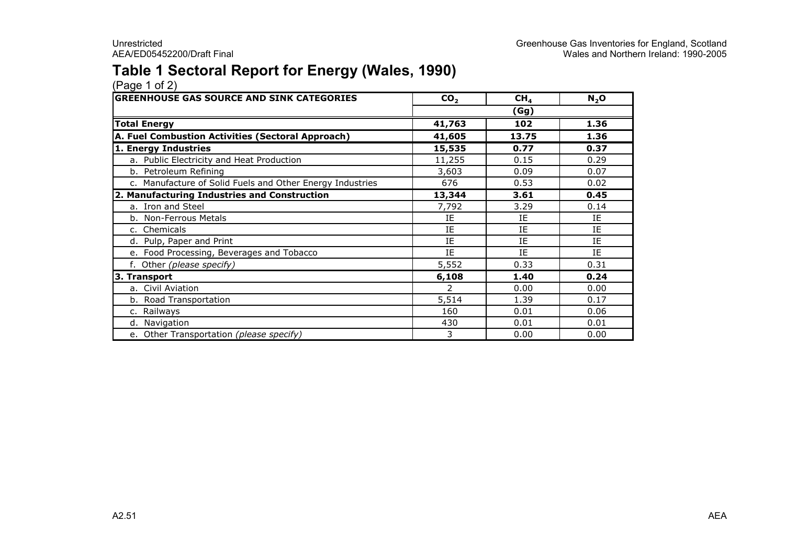### Table 1 Sectoral Report for Energy (Wales, 1990)

| <b>GREENHOUSE GAS SOURCE AND SINK CATEGORIES</b>          | CO <sub>2</sub> | CH <sub>4</sub> | $N_2$ O |  |
|-----------------------------------------------------------|-----------------|-----------------|---------|--|
|                                                           | (Gg)            |                 |         |  |
| <b>Total Energy</b>                                       | 41,763          | 102             | 1.36    |  |
| A. Fuel Combustion Activities (Sectoral Approach)         | 41,605          | 13.75           | 1.36    |  |
| 1. Energy Industries                                      | 15,535          | 0.77            | 0.37    |  |
| a. Public Electricity and Heat Production                 | 11,255          | 0.15            | 0.29    |  |
| b. Petroleum Refining                                     | 3,603           | 0.09            | 0.07    |  |
| c. Manufacture of Solid Fuels and Other Energy Industries | 676             | 0.53            | 0.02    |  |
| 2. Manufacturing Industries and Construction              | 13,344          | 3.61            | 0.45    |  |
| a. Iron and Steel                                         | 7,792           | 3.29            | 0.14    |  |
| b. Non-Ferrous Metals                                     | ΙE              | IE              | ΙE      |  |
| c. Chemicals                                              | IE              | IE              | IE      |  |
| d. Pulp, Paper and Print                                  | IE              | IE              | IE      |  |
| e. Food Processing, Beverages and Tobacco                 | IE              | IE              | IE      |  |
| f. Other (please specify)                                 | 5,552           | 0.33            | 0.31    |  |
| 3. Transport                                              | 6,108           | 1.40            | 0.24    |  |
| a. Civil Aviation                                         | $\overline{2}$  | 0.00            | 0.00    |  |
| b. Road Transportation                                    | 5,514           | 1.39            | 0.17    |  |
| c. Railways                                               | 160             | 0.01            | 0.06    |  |
| d. Navigation                                             | 430             | 0.01            | 0.01    |  |
| e. Other Transportation (please specify)                  | 3               | 0.00            | 0.00    |  |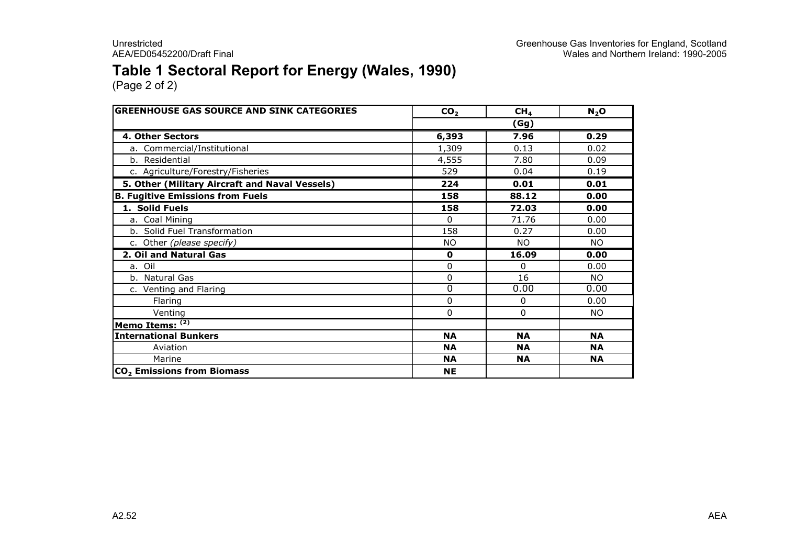### Table 1 Sectoral Report for Energy (Wales, 1990)

| <b>GREENHOUSE GAS SOURCE AND SINK CATEGORIES</b> | CO <sub>2</sub> | CH <sub>4</sub> | $N_2$ O   |  |
|--------------------------------------------------|-----------------|-----------------|-----------|--|
|                                                  |                 | (Gg)            |           |  |
| 4. Other Sectors                                 | 6,393           | 7.96            | 0.29      |  |
| a. Commercial/Institutional                      | 1,309           | 0.13            | 0.02      |  |
| b. Residential                                   | 4,555           | 7.80            | 0.09      |  |
| c. Agriculture/Forestry/Fisheries                | 529             | 0.04            | 0.19      |  |
| 5. Other (Military Aircraft and Naval Vessels)   | 224             | 0.01            | 0.01      |  |
| <b>B. Fugitive Emissions from Fuels</b>          | 158             | 88.12           | 0.00      |  |
| 1. Solid Fuels                                   | 158             | 72.03           | 0.00      |  |
| a. Coal Mining                                   | $\Omega$        | 71.76           | 0.00      |  |
| b. Solid Fuel Transformation                     | 158             | 0.27            | 0.00      |  |
| c. Other (please specify)                        | NO.             | NO.             | NO.       |  |
| 2. Oil and Natural Gas                           | $\mathbf 0$     | 16.09           | 0.00      |  |
| a. Oil                                           | 0               | 0               | 0.00      |  |
| b. Natural Gas                                   | 0               | 16              | NO.       |  |
| c. Venting and Flaring                           | $\overline{0}$  | 0.00            | 0.00      |  |
| Flaring                                          | 0               | 0               | 0.00      |  |
| Venting                                          | 0               | 0               | <b>NO</b> |  |
| Memo Items: (2)                                  |                 |                 |           |  |
| <b>International Bunkers</b>                     | <b>NA</b>       | <b>NA</b>       | <b>NA</b> |  |
| Aviation                                         | <b>NA</b>       | <b>NA</b>       | <b>NA</b> |  |
| Marine                                           | <b>NA</b>       | <b>NA</b>       | <b>NA</b> |  |
| CO <sub>2</sub> Emissions from Biomass           | <b>NE</b>       |                 |           |  |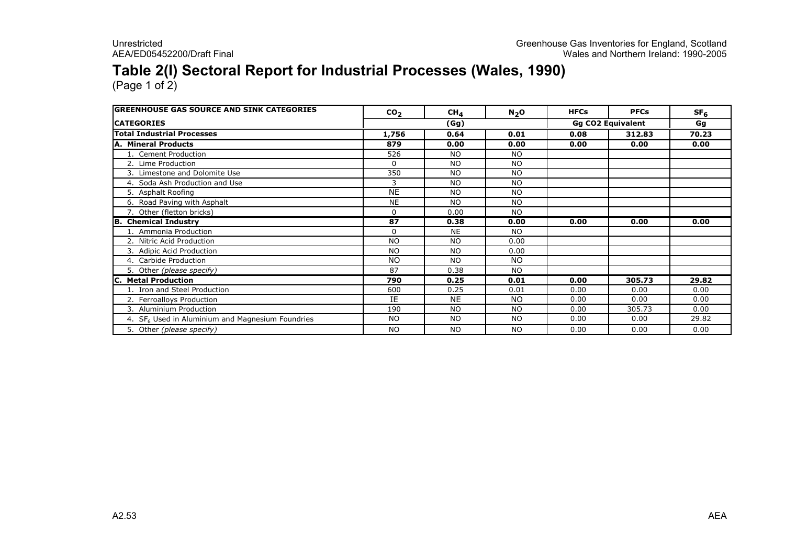### Table 2(I) Sectoral Report for Industrial Processes (Wales, 1990)

| <b>IGREENHOUSE GAS SOURCE AND SINK CATEGORIES</b>  | CO <sub>2</sub> | CH <sub>4</sub> | $N_2$ O   | <b>HFCs</b> | <b>PFCs</b>              | SF <sub>6</sub> |
|----------------------------------------------------|-----------------|-----------------|-----------|-------------|--------------------------|-----------------|
| <b>ICATEGORIES</b>                                 |                 | (Gg)            |           |             | <b>Gg CO2 Equivalent</b> | Gg              |
| <b>Total Industrial Processes</b>                  | 1,756           | 0.64            | 0.01      | 0.08        | 312.83                   | 70.23           |
| <b>A. Mineral Products</b>                         | 879             | 0.00            | 0.00      | 0.00        | 0.00                     | 0.00            |
| 1. Cement Production                               | 526             | <b>NO</b>       | <b>NO</b> |             |                          |                 |
| 2. Lime Production                                 | 0               | <b>NO</b>       | <b>NO</b> |             |                          |                 |
| 3. Limestone and Dolomite Use                      | 350             | <b>NO</b>       | <b>NO</b> |             |                          |                 |
| 4. Soda Ash Production and Use                     | 3               | <b>NO</b>       | <b>NO</b> |             |                          |                 |
| 5. Asphalt Roofing                                 | <b>NE</b>       | <b>NO</b>       | <b>NO</b> |             |                          |                 |
| 6. Road Paving with Asphalt                        | <b>NE</b>       | <b>NO</b>       | NO.       |             |                          |                 |
| 7. Other (fletton bricks)                          | 0               | 0.00            | NO.       |             |                          |                 |
| <b>B.</b> Chemical Industry                        | 87              | 0.38            | 0.00      | 0.00        | 0.00                     | 0.00            |
| 1. Ammonia Production                              | 0               | <b>NE</b>       | NO.       |             |                          |                 |
| 2. Nitric Acid Production                          | <b>NO</b>       | <b>NO</b>       | 0.00      |             |                          |                 |
| 3. Adipic Acid Production                          | <b>NO</b>       | <b>NO</b>       | 0.00      |             |                          |                 |
| 4. Carbide Production                              | <b>NO</b>       | <b>NO</b>       | <b>NO</b> |             |                          |                 |
| 5. Other (please specify)                          | 87              | 0.38            | <b>NO</b> |             |                          |                 |
| <b>Metal Production</b>                            | 790             | 0.25            | 0.01      | 0.00        | 305.73                   | 29.82           |
| 1. Iron and Steel Production                       | 600             | 0.25            | 0.01      | 0.00        | 0.00                     | 0.00            |
| 2. Ferroalloys Production                          | IE              | <b>NE</b>       | <b>NO</b> | 0.00        | 0.00                     | 0.00            |
| 3. Aluminium Production                            | 190             | <b>NO</b>       | <b>NO</b> | 0.00        | 305.73                   | 0.00            |
| 4. $SF6$ Used in Aluminium and Magnesium Foundries | <b>NO</b>       | <b>NO</b>       | NO.       | 0.00        | 0.00                     | 29.82           |
| 5. Other (please specify)                          | <b>NO</b>       | <b>NO</b>       | <b>NO</b> | 0.00        | 0.00                     | 0.00            |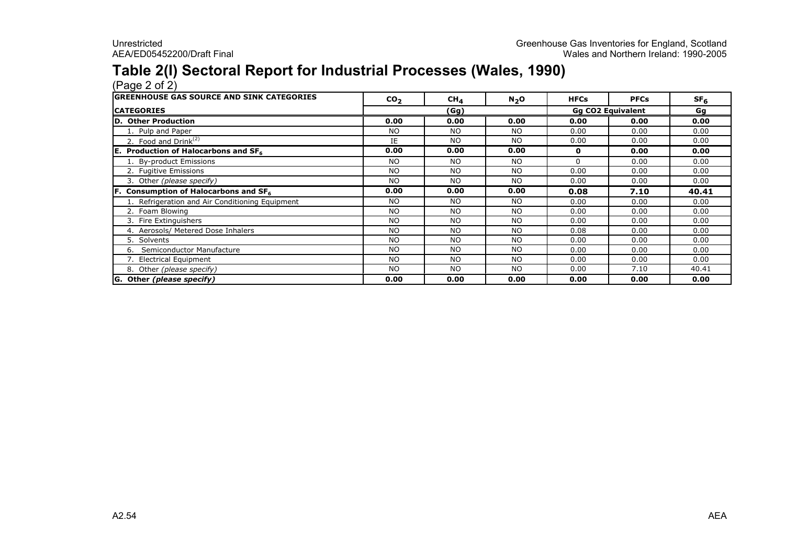### Table 2(I) Sectoral Report for Industrial Processes (Wales, 1990)

(Page 2 of 2) GREENHOUSE GAS SOURCE AND SINK CATEGORIESCO<sub>2</sub> 2 | CH<sub>4</sub> | N<sub>2</sub>O | HFCs | PFCs | SF<sub>6</sub> **CATEGORIES**  Gg D. Other Production 1. Pulp and Paper2. Food and Drink $^{(2)}$  IE the set of the set of the set of the set of the set of the set of the set of the set of the set of the set of the set of the set of the set of the set of the set of the set of the set of the set  $\frac{(Gg)}{0.00}$ 

| <b>CATEGORIES</b>                                 | (Gg)      |           |           | <b>Gg CO2 Equivalent</b> | Gg   |       |
|---------------------------------------------------|-----------|-----------|-----------|--------------------------|------|-------|
| <b>D. Other Production</b>                        | 0.00      | 0.00      | 0.00      | 0.00                     | 0.00 | 0.00  |
| 1. Pulp and Paper                                 | NO.       | <b>NO</b> | NO.       | 0.00                     | 0.00 | 0.00  |
| 2. Food and Drink $(2)$                           | IE.       | <b>NO</b> | <b>NO</b> | 0.00                     | 0.00 | 0.00  |
| E. Production of Halocarbons and SF <sub>6</sub>  | 0.00      | 0.00      | 0.00      | 0                        | 0.00 | 0.00  |
| 1. By-product Emissions                           | NO.       | <b>NO</b> | <b>NO</b> | 0                        | 0.00 | 0.00  |
| 2. Fugitive Emissions                             | <b>NO</b> | <b>NO</b> | NO.       | 0.00                     | 0.00 | 0.00  |
| 3. Other (please specify)                         | <b>NO</b> | <b>NO</b> | NO.       | 0.00                     | 0.00 | 0.00  |
| F. Consumption of Halocarbons and SF <sub>6</sub> | 0.00      | 0.00      | 0.00      | 0.08                     | 7.10 | 40.41 |
| 1. Refrigeration and Air Conditioning Equipment   | <b>NO</b> | <b>NO</b> | <b>NO</b> | 0.00                     | 0.00 | 0.00  |
| 2. Foam Blowing                                   | <b>NO</b> | <b>NO</b> | <b>NO</b> | 0.00                     | 0.00 | 0.00  |
| 3. Fire Extinguishers                             | <b>NO</b> | <b>NO</b> | <b>NO</b> | 0.00                     | 0.00 | 0.00  |
| 4. Aerosols/ Metered Dose Inhalers                | <b>NO</b> | <b>NO</b> | <b>NO</b> | 0.08                     | 0.00 | 0.00  |
| 5. Solvents                                       | NO.       | <b>NO</b> | NO.       | 0.00                     | 0.00 | 0.00  |
| Semiconductor Manufacture<br>6.                   | <b>NO</b> | <b>NO</b> | <b>NO</b> | 0.00                     | 0.00 | 0.00  |
| 7. Electrical Equipment                           | <b>NO</b> | <b>NO</b> | <b>NO</b> | 0.00                     | 0.00 | 0.00  |
| 8. Other (please specify)                         | <b>NO</b> | <b>NO</b> | <b>NO</b> | 0.00                     | 7.10 | 40.41 |
| G. Other (please specify)                         | 0.00      | 0.00      | 0.00      | 0.00                     | 0.00 | 0.00  |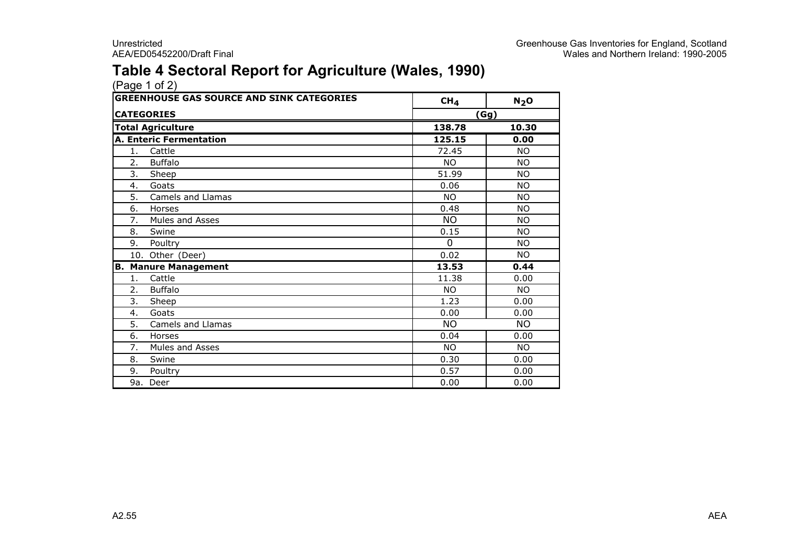### Table 4 Sectoral Report for Agriculture (Wales, 1990)

| <b>GREENHOUSE GAS SOURCE AND SINK CATEGORIES</b> |                                | CH <sub>4</sub> | $N_2$ O   |  |  |  |
|--------------------------------------------------|--------------------------------|-----------------|-----------|--|--|--|
|                                                  | <b>CATEGORIES</b>              |                 | (Gg)      |  |  |  |
|                                                  | <b>Total Agriculture</b>       | 138.78          | 10.30     |  |  |  |
|                                                  | <b>A. Enteric Fermentation</b> | 125.15          | 0.00      |  |  |  |
| 1.                                               | Cattle                         | 72.45           | NO.       |  |  |  |
| 2.                                               | <b>Buffalo</b>                 | NO.             | <b>NO</b> |  |  |  |
| 3.                                               | Sheep                          | 51.99           | <b>NO</b> |  |  |  |
| 4.                                               | Goats                          | 0.06            | <b>NO</b> |  |  |  |
| 5.                                               | Camels and Llamas              | NO.             | <b>NO</b> |  |  |  |
| 6.                                               | Horses                         | 0.48            | <b>NO</b> |  |  |  |
| 7.                                               | Mules and Asses                | <b>NO</b>       | <b>NO</b> |  |  |  |
| 8.                                               | Swine                          | 0.15            | <b>NO</b> |  |  |  |
| 9.                                               | Poultry                        | $\mathbf{0}$    | <b>NO</b> |  |  |  |
|                                                  | 10. Other (Deer)               | 0.02            | NO.       |  |  |  |
|                                                  | <b>B. Manure Management</b>    | 13.53           | 0.44      |  |  |  |
| 1.                                               | Cattle                         | 11.38           | 0.00      |  |  |  |
| 2.                                               | <b>Buffalo</b>                 | NO.             | NO.       |  |  |  |
| 3.                                               | Sheep                          | 1.23            | 0.00      |  |  |  |
| 4.                                               | Goats                          | 0.00            | 0.00      |  |  |  |
| 5.                                               | Camels and Llamas              | <b>NO</b>       | <b>NO</b> |  |  |  |
| 6.                                               | Horses                         | 0.04            | 0.00      |  |  |  |
| 7.                                               | Mules and Asses                | <b>NO</b>       | <b>NO</b> |  |  |  |
| 8.                                               | Swine                          | 0.30            | 0.00      |  |  |  |
| 9.                                               | Poultry                        | 0.57            | 0.00      |  |  |  |
|                                                  | 9a. Deer                       | 0.00            | 0.00      |  |  |  |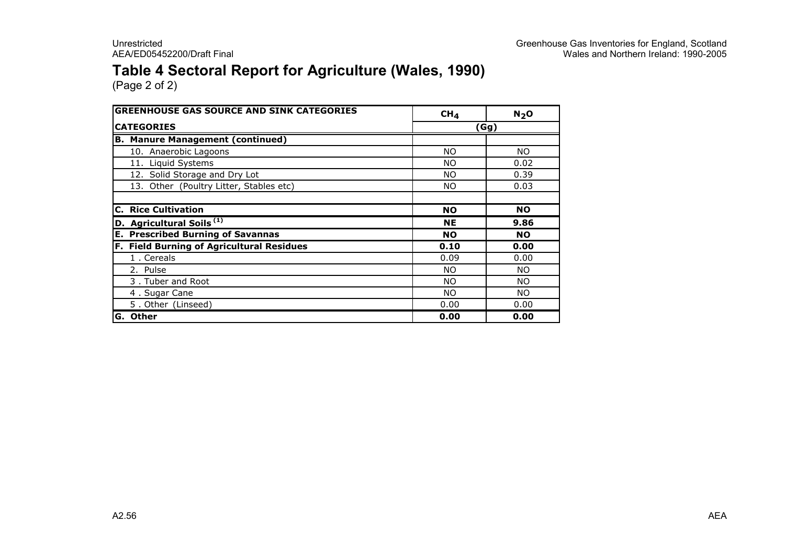### Table 4 Sectoral Report for Agriculture (Wales, 1990)

| <b>GREENHOUSE GAS SOURCE AND SINK CATEGORIES</b> | CH <sub>4</sub> | N <sub>2</sub> O |
|--------------------------------------------------|-----------------|------------------|
| <b>CATEGORIES</b>                                |                 | (Gg)             |
| <b>B. Manure Management (continued)</b>          |                 |                  |
| 10. Anaerobic Lagoons                            | NO.             | NO.              |
| 11. Liquid Systems                               | <b>NO</b>       | 0.02             |
| 12. Solid Storage and Dry Lot                    | NO.             | 0.39             |
| 13. Other (Poultry Litter, Stables etc)          | NO.             | 0.03             |
|                                                  |                 |                  |
| <b>C. Rice Cultivation</b>                       | <b>NO</b>       | <b>NO</b>        |
| D. Agricultural Soils <sup>(1)</sup>             | <b>NE</b>       | 9.86             |
| <b>E. Prescribed Burning of Savannas</b>         | <b>NO</b>       | <b>NO</b>        |
| F. Field Burning of Agricultural Residues        | 0.10            | 0.00             |
| 1. Cereals                                       | 0.09            | 0.00             |
| 2. Pulse                                         | NO.             | NO.              |
| 3. Tuber and Root                                | NO.             | NO.              |
| 4. Sugar Cane                                    | NO.             | NO.              |
| 5. Other (Linseed)                               | 0.00            | 0.00             |
| <b>Other</b><br>G.                               | 0.00            | 0.00             |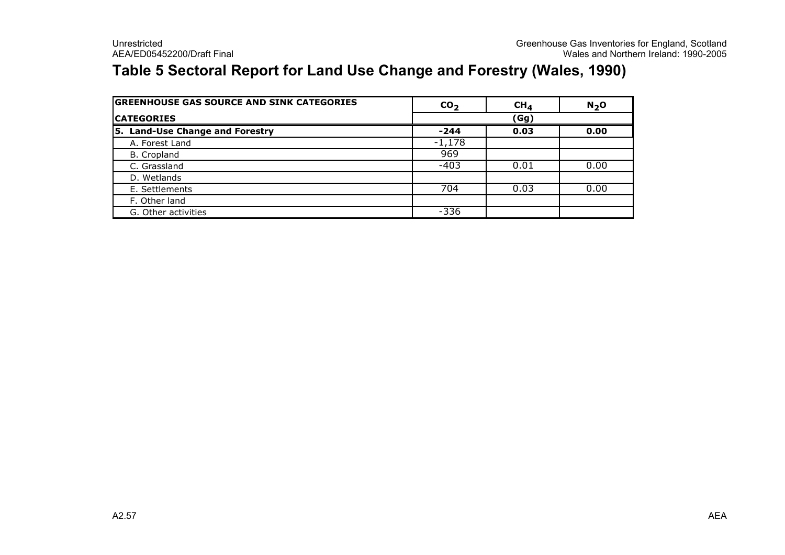### Table 5 Sectoral Report for Land Use Change and Forestry (Wales, 1990)

| <b>GREENHOUSE GAS SOURCE AND SINK CATEGORIES</b> | CO <sub>2</sub> | CH <sub>4</sub> | $N2$ O |
|--------------------------------------------------|-----------------|-----------------|--------|
| <b>CATEGORIES</b>                                |                 | (Gg)            |        |
| 5. Land-Use Change and Forestry                  | $-244$          | 0.03            | 0.00   |
| A. Forest Land                                   | $-1,178$        |                 |        |
| B. Cropland                                      | 969             |                 |        |
| C. Grassland                                     | $-403$          | 0.01            | 0.00   |
| D. Wetlands                                      |                 |                 |        |
| E. Settlements                                   | 704             | 0.03            | 0.00   |
| F. Other land                                    |                 |                 |        |
| G. Other activities                              | $-336$          |                 |        |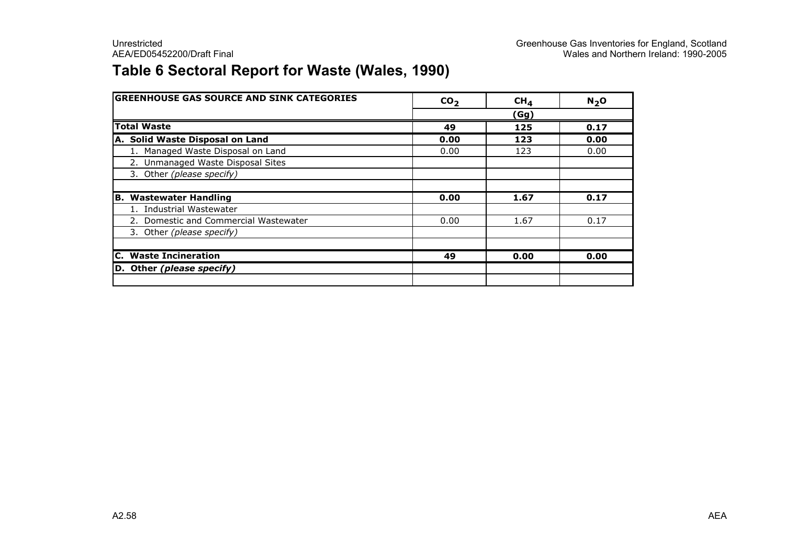### Table 6 Sectoral Report for Waste (Wales, 1990)

| <b>GREENHOUSE GAS SOURCE AND SINK CATEGORIES</b> | CO <sub>2</sub> | CH <sub>4</sub> | N <sub>2</sub> O |
|--------------------------------------------------|-----------------|-----------------|------------------|
|                                                  |                 | (Gg)            |                  |
| <b>Total Waste</b>                               | 49              | 125             | 0.17             |
| A. Solid Waste Disposal on Land                  | 0.00            | 123             | 0.00             |
| 1. Managed Waste Disposal on Land                | 0.00            | 123             | 0.00             |
| 2. Unmanaged Waste Disposal Sites                |                 |                 |                  |
| 3. Other (please specify)                        |                 |                 |                  |
|                                                  |                 |                 |                  |
| <b>Wastewater Handling</b><br>B.                 | 0.00            | 1.67            | 0.17             |
| 1. Industrial Wastewater                         |                 |                 |                  |
| 2. Domestic and Commercial Wastewater            | 0.00            | 1.67            | 0.17             |
| 3. Other (please specify)                        |                 |                 |                  |
|                                                  |                 |                 |                  |
| <b>C.</b> Waste Incineration                     | 49              | 0.00            | 0.00             |
| D. Other (please specify)                        |                 |                 |                  |
|                                                  |                 |                 |                  |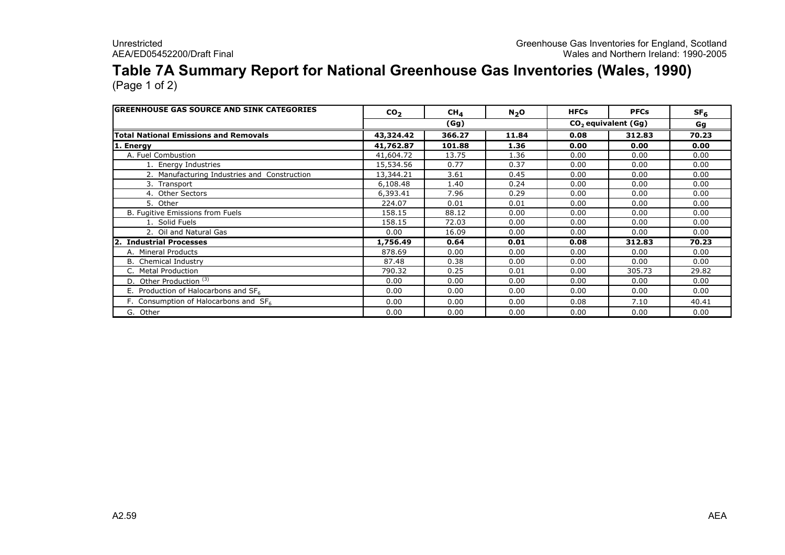## Table 7A Summary Report for National Greenhouse Gas Inventories (Wales, 1990)

| <b>IGREENHOUSE GAS SOURCE AND SINK CATEGORIES</b> | CO <sub>2</sub> | CH <sub>4</sub> | $N_2$ O | <b>HFCs</b> | <b>PFCs</b>           | SF <sub>6</sub> |  |
|---------------------------------------------------|-----------------|-----------------|---------|-------------|-----------------------|-----------------|--|
|                                                   |                 | (Gg)            |         |             | $CO2$ equivalent (Gg) |                 |  |
| <b>Total National Emissions and Removals</b>      | 43,324.42       | 366.27          | 11.84   | 0.08        | 312.83                | 70.23           |  |
| 1. Energy                                         | 41,762.87       | 101.88          | 1.36    | 0.00        | 0.00                  | 0.00            |  |
| A. Fuel Combustion                                | 41,604.72       | 13.75           | 1.36    | 0.00        | 0.00                  | 0.00            |  |
| 1. Energy Industries                              | 15,534.56       | 0.77            | 0.37    | 0.00        | 0.00                  | 0.00            |  |
| 2. Manufacturing Industries and Construction      | 13,344.21       | 3.61            | 0.45    | 0.00        | 0.00                  | 0.00            |  |
| 3. Transport                                      | 6,108.48        | 1.40            | 0.24    | 0.00        | 0.00                  | 0.00            |  |
| 4. Other Sectors                                  | 6,393.41        | 7.96            | 0.29    | 0.00        | 0.00                  | 0.00            |  |
| 5. Other                                          | 224.07          | 0.01            | 0.01    | 0.00        | 0.00                  | 0.00            |  |
| B. Fugitive Emissions from Fuels                  | 158.15          | 88.12           | 0.00    | 0.00        | 0.00                  | 0.00            |  |
| 1. Solid Fuels                                    | 158.15          | 72.03           | 0.00    | 0.00        | 0.00                  | 0.00            |  |
| 2. Oil and Natural Gas                            | 0.00            | 16.09           | 0.00    | 0.00        | 0.00                  | 0.00            |  |
| 2. Industrial Processes                           | 1,756.49        | 0.64            | 0.01    | 0.08        | 312.83                | 70.23           |  |
| A. Mineral Products                               | 878.69          | 0.00            | 0.00    | 0.00        | 0.00                  | 0.00            |  |
| <b>B.</b> Chemical Industry                       | 87.48           | 0.38            | 0.00    | 0.00        | 0.00                  | 0.00            |  |
| C. Metal Production                               | 790.32          | 0.25            | 0.01    | 0.00        | 305.73                | 29.82           |  |
| D. Other Production <sup>(3)</sup>                | 0.00            | 0.00            | 0.00    | 0.00        | 0.00                  | 0.00            |  |
| E. Production of Halocarbons and $SF6$            | 0.00            | 0.00            | 0.00    | 0.00        | 0.00                  | 0.00            |  |
| F. Consumption of Halocarbons and $SF6$           | 0.00            | 0.00            | 0.00    | 0.08        | 7.10                  | 40.41           |  |
| G.<br>Other                                       | 0.00            | 0.00            | 0.00    | 0.00        | 0.00                  | 0.00            |  |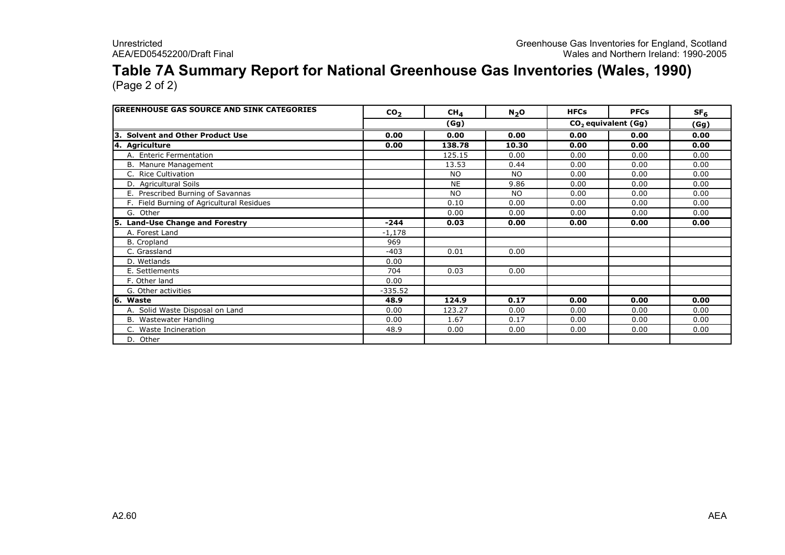## Table 7A Summary Report for National Greenhouse Gas Inventories (Wales, 1990)

| <b>GREENHOUSE GAS SOURCE AND SINK CATEGORIES</b> | CO <sub>2</sub> | CH <sub>4</sub> | N <sub>2</sub> O | <b>HFCs</b> | <b>PFCs</b>           | SF <sub>6</sub> |
|--------------------------------------------------|-----------------|-----------------|------------------|-------------|-----------------------|-----------------|
|                                                  |                 | (Gg)            |                  |             | $CO2$ equivalent (Gg) | (Gg)            |
| <b>Solvent and Other Product Use</b><br>13.      | 0.00            | 0.00            | 0.00             | 0.00        | 0.00                  | 0.00            |
| 4. Agriculture                                   | 0.00            | 138.78          | 10.30            | 0.00        | 0.00                  | 0.00            |
| A. Enteric Fermentation                          |                 | 125.15          | 0.00             | 0.00        | 0.00                  | 0.00            |
| B. Manure Management                             |                 | 13.53           | 0.44             | 0.00        | 0.00                  | 0.00            |
| C. Rice Cultivation                              |                 | <b>NO</b>       | <b>NO</b>        | 0.00        | 0.00                  | 0.00            |
| D. Agricultural Soils                            |                 | <b>NE</b>       | 9.86             | 0.00        | 0.00                  | 0.00            |
| E. Prescribed Burning of Savannas                |                 | <b>NO</b>       | <b>NO</b>        | 0.00        | 0.00                  | 0.00            |
| F. Field Burning of Agricultural Residues        |                 | 0.10            | 0.00             | 0.00        | 0.00                  | 0.00            |
| G. Other                                         |                 | 0.00            | 0.00             | 0.00        | 0.00                  | 0.00            |
| 5. Land-Use Change and Forestry                  | $-244$          | 0.03            | 0.00             | 0.00        | 0.00                  | 0.00            |
| A. Forest Land                                   | $-1,178$        |                 |                  |             |                       |                 |
| B. Cropland                                      | 969             |                 |                  |             |                       |                 |
| C. Grassland                                     | $-403$          | 0.01            | 0.00             |             |                       |                 |
| D. Wetlands                                      | 0.00            |                 |                  |             |                       |                 |
| E. Settlements                                   | 704             | 0.03            | 0.00             |             |                       |                 |
| F. Other land                                    | 0.00            |                 |                  |             |                       |                 |
| G. Other activities                              | $-335.52$       |                 |                  |             |                       |                 |
| l6.<br>Waste                                     | 48.9            | 124.9           | 0.17             | 0.00        | 0.00                  | 0.00            |
| A. Solid Waste Disposal on Land                  | 0.00            | 123.27          | 0.00             | 0.00        | 0.00                  | 0.00            |
| B. Wastewater Handling                           | 0.00            | 1.67            | 0.17             | 0.00        | 0.00                  | 0.00            |
| C. Waste Incineration                            | 48.9            | 0.00            | 0.00             | 0.00        | 0.00                  | 0.00            |
| D. Other                                         |                 |                 |                  |             |                       |                 |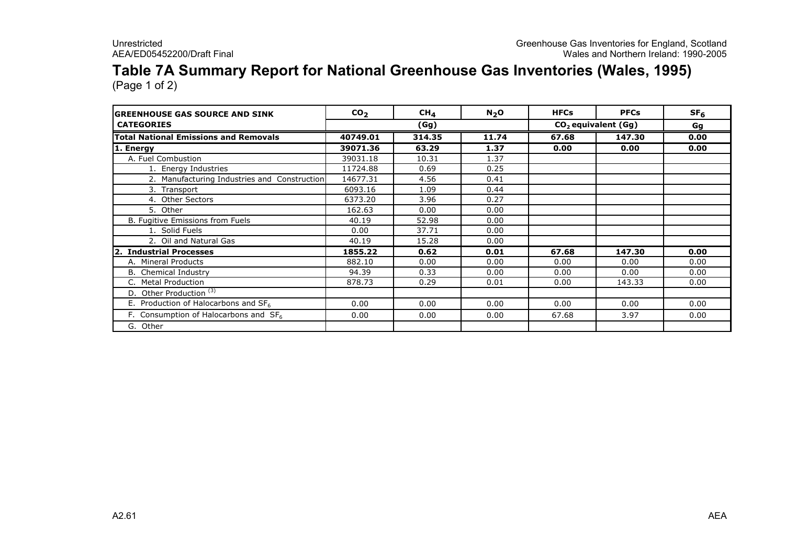## Table 7A Summary Report for National Greenhouse Gas Inventories (Wales, 1995)

| <b>GREENHOUSE GAS SOURCE AND SINK</b>             | CO <sub>2</sub> | $CH_{4}$ | $N2$ O | <b>HFCs</b> | <b>PFCs</b>                     | SF <sub>6</sub> |
|---------------------------------------------------|-----------------|----------|--------|-------------|---------------------------------|-----------------|
| <b>CATEGORIES</b>                                 |                 | (Gg)     |        |             | CO <sub>2</sub> equivalent (Gg) | Gg              |
| <b>Total National Emissions and Removals</b>      | 40749.01        | 314.35   | 11.74  | 67.68       | 147.30                          | 0.00            |
| 1. Energy                                         | 39071.36        | 63.29    | 1.37   | 0.00        | 0.00                            | 0.00            |
| A. Fuel Combustion                                | 39031.18        | 10.31    | 1.37   |             |                                 |                 |
| 1. Energy Industries                              | 11724.88        | 0.69     | 0.25   |             |                                 |                 |
| 2. Manufacturing Industries and Construction      | 14677.31        | 4.56     | 0.41   |             |                                 |                 |
| 3. Transport                                      | 6093.16         | 1.09     | 0.44   |             |                                 |                 |
| 4. Other Sectors                                  | 6373.20         | 3.96     | 0.27   |             |                                 |                 |
| 5. Other                                          | 162.63          | 0.00     | 0.00   |             |                                 |                 |
| B. Fugitive Emissions from Fuels                  | 40.19           | 52.98    | 0.00   |             |                                 |                 |
| 1. Solid Fuels                                    | 0.00            | 37.71    | 0.00   |             |                                 |                 |
| 2. Oil and Natural Gas                            | 40.19           | 15.28    | 0.00   |             |                                 |                 |
| <b>Industrial Processes</b><br>l2.                | 1855.22         | 0.62     | 0.01   | 67.68       | 147.30                          | 0.00            |
| A. Mineral Products                               | 882.10          | 0.00     | 0.00   | 0.00        | 0.00                            | 0.00            |
| <b>B.</b> Chemical Industry                       | 94.39           | 0.33     | 0.00   | 0.00        | 0.00                            | 0.00            |
| C. Metal Production                               | 878.73          | 0.29     | 0.01   | 0.00        | 143.33                          | 0.00            |
| D. Other Production <sup>(3)</sup>                |                 |          |        |             |                                 |                 |
| E. Production of Halocarbons and $SF6$            | 0.00            | 0.00     | 0.00   | 0.00        | 0.00                            | 0.00            |
| F. Consumption of Halocarbons and SF <sub>6</sub> | 0.00            | 0.00     | 0.00   | 67.68       | 3.97                            | 0.00            |
| G. Other                                          |                 |          |        |             |                                 |                 |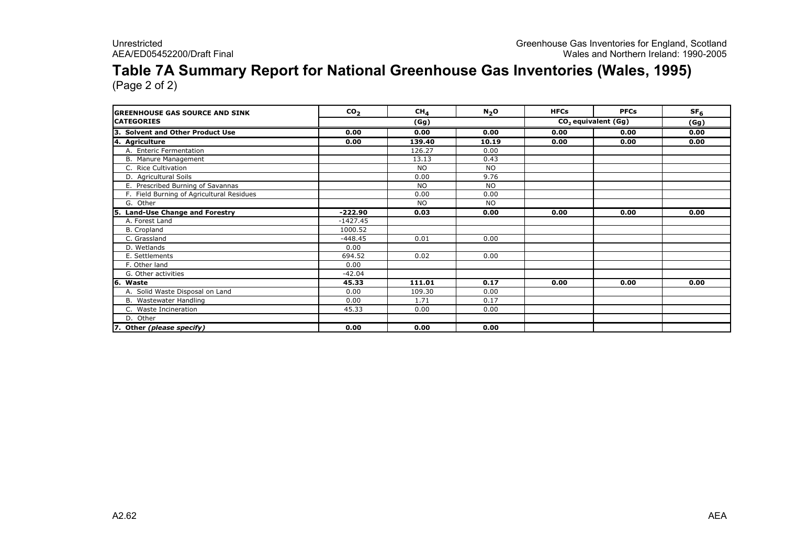## Table 7A Summary Report for National Greenhouse Gas Inventories (Wales, 1995)

| <b>IGREENHOUSE GAS SOURCE AND SINK</b>      | CO <sub>2</sub> | CH <sub>A</sub> | N <sub>2</sub> O | <b>HFCs</b>                     | <b>PFCs</b> | SF <sub>6</sub> |
|---------------------------------------------|-----------------|-----------------|------------------|---------------------------------|-------------|-----------------|
| <b>CATEGORIES</b>                           |                 | (Gg)            |                  | CO <sub>2</sub> equivalent (Gg) | (Gg)        |                 |
| <b>Solvent and Other Product Use</b><br>١З. | 0.00            | 0.00            | 0.00             | 0.00                            | 0.00        | 0.00            |
| 4. Agriculture                              | 0.00            | 139.40          | 10.19            | 0.00                            | 0.00        | 0.00            |
| A. Enteric Fermentation                     |                 | 126.27          | 0.00             |                                 |             |                 |
| B. Manure Management                        |                 | 13.13           | 0.43             |                                 |             |                 |
| C. Rice Cultivation                         |                 | <b>NO</b>       | NO.              |                                 |             |                 |
| D. Agricultural Soils                       |                 | 0.00            | 9.76             |                                 |             |                 |
| E. Prescribed Burning of Savannas           |                 | <b>NO</b>       | <b>NO</b>        |                                 |             |                 |
| F. Field Burning of Agricultural Residues   |                 | 0.00            | 0.00             |                                 |             |                 |
| G. Other                                    |                 | <b>NO</b>       | <b>NO</b>        |                                 |             |                 |
| 5. Land-Use Change and Forestry             | -222.90         | 0.03            | 0.00             | 0.00                            | 0.00        | 0.00            |
| A. Forest Land                              | $-1427.45$      |                 |                  |                                 |             |                 |
| B. Cropland                                 | 1000.52         |                 |                  |                                 |             |                 |
| C. Grassland                                | $-448.45$       | 0.01            | 0.00             |                                 |             |                 |
| D. Wetlands                                 | 0.00            |                 |                  |                                 |             |                 |
| E. Settlements                              | 694.52          | 0.02            | 0.00             |                                 |             |                 |
| F. Other land                               | 0.00            |                 |                  |                                 |             |                 |
| G. Other activities                         | $-42.04$        |                 |                  |                                 |             |                 |
| 6. Waste                                    | 45.33           | 111.01          | 0.17             | 0.00                            | 0.00        | 0.00            |
| A. Solid Waste Disposal on Land             | 0.00            | 109.30          | 0.00             |                                 |             |                 |
| B. Wastewater Handling                      | 0.00            | 1.71            | 0.17             |                                 |             |                 |
| C. Waste Incineration                       | 45.33           | 0.00            | 0.00             |                                 |             |                 |
| D. Other                                    |                 |                 |                  |                                 |             |                 |
| 7. Other (please specify)                   | 0.00            | 0.00            | 0.00             |                                 |             |                 |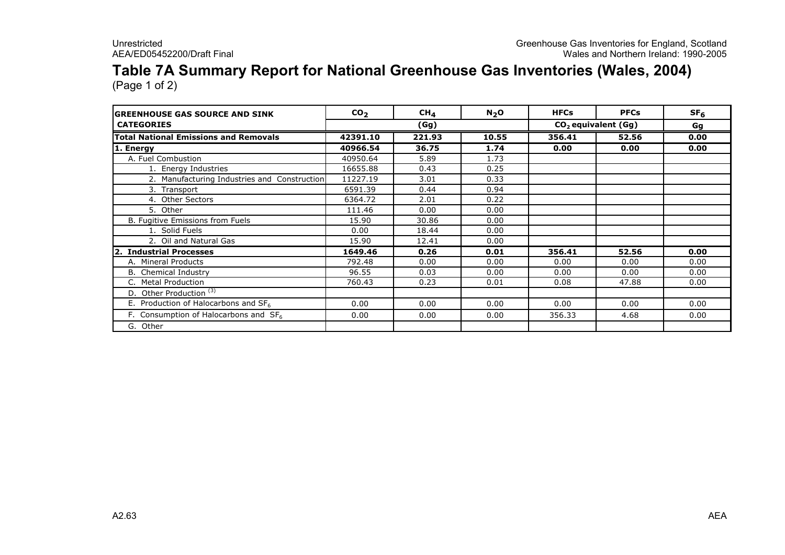## Table 7A Summary Report for National Greenhouse Gas Inventories (Wales, 2004)

| <b>GREENHOUSE GAS SOURCE AND SINK</b>             | CO <sub>2</sub> | $CH_{4}$ | N <sub>2</sub> O | <b>HFCs</b>           | <b>PFCs</b> | SF <sub>6</sub> |
|---------------------------------------------------|-----------------|----------|------------------|-----------------------|-------------|-----------------|
| <b>CATEGORIES</b>                                 | (Gg)            |          |                  | $CO2$ equivalent (Gg) |             | Gg              |
| <b>Total National Emissions and Removals</b>      | 42391.10        | 221.93   | 10.55            | 356.41                | 52.56       | 0.00            |
| 1. Energy                                         | 40966.54        | 36.75    | 1.74             | 0.00                  | 0.00        | 0.00            |
| A. Fuel Combustion                                | 40950.64        | 5.89     | 1.73             |                       |             |                 |
| 1. Energy Industries                              | 16655.88        | 0.43     | 0.25             |                       |             |                 |
| 2. Manufacturing Industries and Construction      | 11227.19        | 3.01     | 0.33             |                       |             |                 |
| 3. Transport                                      | 6591.39         | 0.44     | 0.94             |                       |             |                 |
| 4. Other Sectors                                  | 6364.72         | 2.01     | 0.22             |                       |             |                 |
| 5. Other                                          | 111.46          | 0.00     | 0.00             |                       |             |                 |
| B. Fugitive Emissions from Fuels                  | 15.90           | 30.86    | 0.00             |                       |             |                 |
| 1. Solid Fuels                                    | 0.00            | 18.44    | 0.00             |                       |             |                 |
| 2. Oil and Natural Gas                            | 15.90           | 12.41    | 0.00             |                       |             |                 |
| <b>Industrial Processes</b><br>l2.                | 1649.46         | 0.26     | 0.01             | 356.41                | 52.56       | 0.00            |
| A. Mineral Products                               | 792.48          | 0.00     | 0.00             | 0.00                  | 0.00        | 0.00            |
| <b>B.</b> Chemical Industry                       | 96.55           | 0.03     | 0.00             | 0.00                  | 0.00        | 0.00            |
| C. Metal Production                               | 760.43          | 0.23     | 0.01             | 0.08                  | 47.88       | 0.00            |
| D. Other Production <sup>(3)</sup>                |                 |          |                  |                       |             |                 |
| E. Production of Halocarbons and $SF6$            | 0.00            | 0.00     | 0.00             | 0.00                  | 0.00        | 0.00            |
| F. Consumption of Halocarbons and SF <sub>6</sub> | 0.00            | 0.00     | 0.00             | 356.33                | 4.68        | 0.00            |
| G. Other                                          |                 |          |                  |                       |             |                 |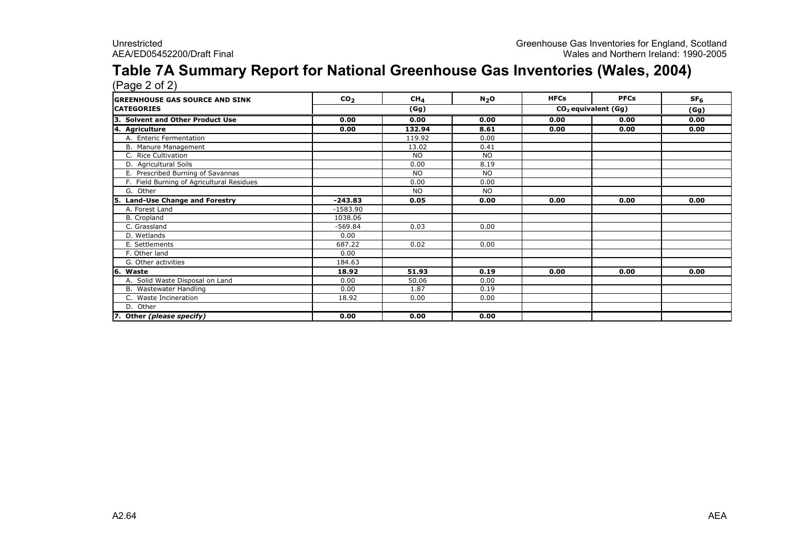# Table 7A Summary Report for National Greenhouse Gas Inventories (Wales, 2004) (Page 2 of 2)

| <b>GREENHOUSE GAS SOURCE AND SINK</b>       | CO <sub>2</sub> | CH <sub>4</sub>                         | $N_2$ O   | <b>HFCs</b> | <b>PFCs</b> | SF <sub>6</sub> |
|---------------------------------------------|-----------------|-----------------------------------------|-----------|-------------|-------------|-----------------|
| <b>CATEGORIES</b>                           |                 | CO <sub>2</sub> equivalent (Gg)<br>(Gg) |           | (Gg)        |             |                 |
| <b>Solvent and Other Product Use</b><br>١з. | 0.00            | 0.00                                    | 0.00      | 0.00        | 0.00        | 0.00            |
| 4. Agriculture                              | 0.00            | 132.94                                  | 8.61      | 0.00        | 0.00        | 0.00            |
| A. Enteric Fermentation                     |                 | 119.92                                  | 0.00      |             |             |                 |
| B. Manure Management                        |                 | 13.02                                   | 0.41      |             |             |                 |
| C. Rice Cultivation                         |                 | <b>NO</b>                               | <b>NO</b> |             |             |                 |
| D. Agricultural Soils                       |                 | 0.00                                    | 8.19      |             |             |                 |
| E. Prescribed Burning of Savannas           |                 | <b>NO</b>                               | <b>NO</b> |             |             |                 |
| F. Field Burning of Agricultural Residues   |                 | 0.00                                    | 0.00      |             |             |                 |
| G. Other                                    |                 | <b>NO</b>                               | <b>NO</b> |             |             |                 |
| <b>Land-Use Change and Forestry</b><br>15.  | $-243.83$       | 0.05                                    | 0.00      | 0.00        | 0.00        | 0.00            |
| A. Forest Land                              | $-1583.90$      |                                         |           |             |             |                 |
| B. Cropland                                 | 1038.06         |                                         |           |             |             |                 |
| C. Grassland                                | $-569.84$       | 0.03                                    | 0.00      |             |             |                 |
| D. Wetlands                                 | 0.00            |                                         |           |             |             |                 |
| E. Settlements                              | 687.22          | 0.02                                    | 0.00      |             |             |                 |
| F. Other land                               | 0.00            |                                         |           |             |             |                 |
| G. Other activities                         | 184.63          |                                         |           |             |             |                 |
| 6. Waste                                    | 18.92           | 51.93                                   | 0.19      | 0.00        | 0.00        | 0.00            |
| A. Solid Waste Disposal on Land             | 0.00            | 50.06                                   | 0.00      |             |             |                 |
| B. Wastewater Handling                      | 0.00            | 1.87                                    | 0.19      |             |             |                 |
| C. Waste Incineration                       | 18.92           | 0.00                                    | 0.00      |             |             |                 |
| D. Other                                    |                 |                                         |           |             |             |                 |
| 7. Other (please specify)                   | 0.00            | 0.00                                    | 0.00      |             |             |                 |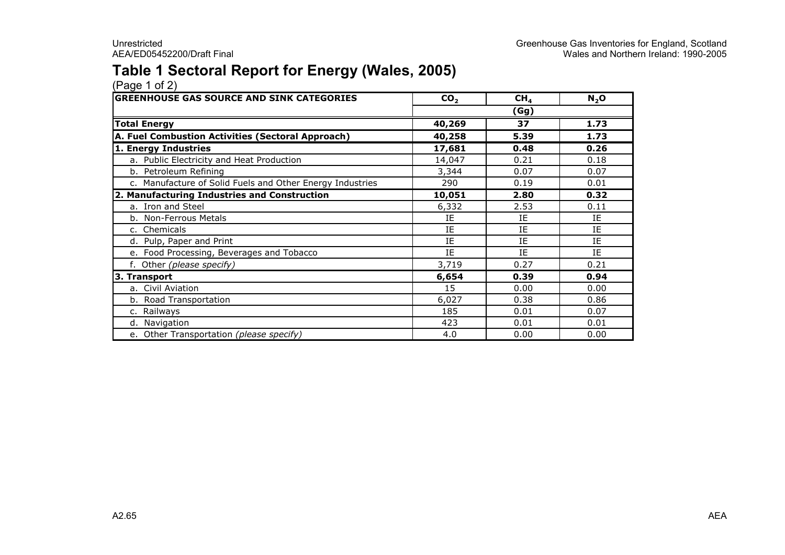### Table 1 Sectoral Report for Energy (Wales, 2005)

| <b>GREENHOUSE GAS SOURCE AND SINK CATEGORIES</b>          | CO <sub>2</sub> | CH <sub>4</sub> | $N_2$ O   |
|-----------------------------------------------------------|-----------------|-----------------|-----------|
|                                                           |                 | (Gg)            |           |
| <b>Total Energy</b>                                       | 40,269          | 37              | 1.73      |
| A. Fuel Combustion Activities (Sectoral Approach)         | 40,258          | 5.39            | 1.73      |
| 1. Energy Industries                                      | 17,681          | 0.48            | 0.26      |
| a. Public Electricity and Heat Production                 | 14,047          | 0.21            | 0.18      |
| b. Petroleum Refining                                     | 3,344           | 0.07            | 0.07      |
| c. Manufacture of Solid Fuels and Other Energy Industries | 290             | 0.19            | 0.01      |
| 2. Manufacturing Industries and Construction              | 10,051          | 2.80            | 0.32      |
| a. Iron and Steel                                         | 6,332           | 2.53            | 0.11      |
| b. Non-Ferrous Metals                                     | IE              | IE              | IE        |
| c. Chemicals                                              | IE              | IE              | IE        |
| d. Pulp, Paper and Print                                  | IE              | IE              | IE        |
| e. Food Processing, Beverages and Tobacco                 | IE              | IE              | <b>IF</b> |
| f. Other (please specify)                                 | 3,719           | 0.27            | 0.21      |
| 3. Transport                                              | 6,654           | 0.39            | 0.94      |
| a. Civil Aviation                                         | 15              | 0.00            | 0.00      |
| b. Road Transportation                                    | 6,027           | 0.38            | 0.86      |
| c. Railways                                               | 185             | 0.01            | 0.07      |
| d. Navigation                                             | 423             | 0.01            | 0.01      |
| e. Other Transportation (please specify)                  | 4.0             | 0.00            | 0.00      |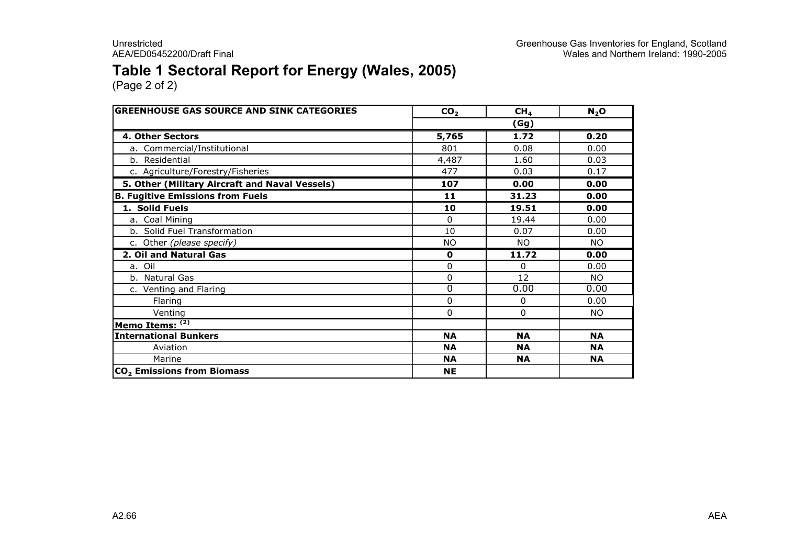### Table 1 Sectoral Report for Energy (Wales, 2005)

| <b>GREENHOUSE GAS SOURCE AND SINK CATEGORIES</b> | CO <sub>2</sub> | CH <sub>4</sub> | $N_2$ O   |
|--------------------------------------------------|-----------------|-----------------|-----------|
|                                                  |                 | (Gg)            |           |
| 4. Other Sectors                                 | 5,765           | 1.72            | 0.20      |
| a. Commercial/Institutional                      | 801             | 0.08            | 0.00      |
| b. Residential                                   | 4,487           | 1.60            | 0.03      |
| c. Agriculture/Forestry/Fisheries                | 477             | 0.03            | 0.17      |
| 5. Other (Military Aircraft and Naval Vessels)   | 107             | 0.00            | 0.00      |
| <b>B. Fugitive Emissions from Fuels</b>          | 11              | 31.23           | 0.00      |
| 1. Solid Fuels                                   | 10              | 19.51           | 0.00      |
| a. Coal Mining                                   | $\Omega$        | 19.44           | 0.00      |
| b. Solid Fuel Transformation                     | 10              | 0.07            | 0.00      |
| c. Other (please specify)                        | <b>NO</b>       | <b>NO</b>       | <b>NO</b> |
| 2. Oil and Natural Gas                           | $\mathbf 0$     | 11.72           | 0.00      |
| a. Oil                                           | $\mathbf{0}$    | 0               | 0.00      |
| b. Natural Gas                                   | 0               | 12              | NO.       |
| c. Venting and Flaring                           | 0               | 0.00            | 0.00      |
| Flaring                                          | 0               | 0               | 0.00      |
| Venting                                          | 0               | 0               | NO.       |
| Memo Items: (2)                                  |                 |                 |           |
| <b>International Bunkers</b>                     | <b>NA</b>       | <b>NA</b>       | <b>NA</b> |
| Aviation                                         | <b>NA</b>       | <b>NA</b>       | <b>NA</b> |
| Marine                                           | <b>NA</b>       | <b>NA</b>       | <b>NA</b> |
| CO <sub>2</sub> Emissions from Biomass           | <b>NE</b>       |                 |           |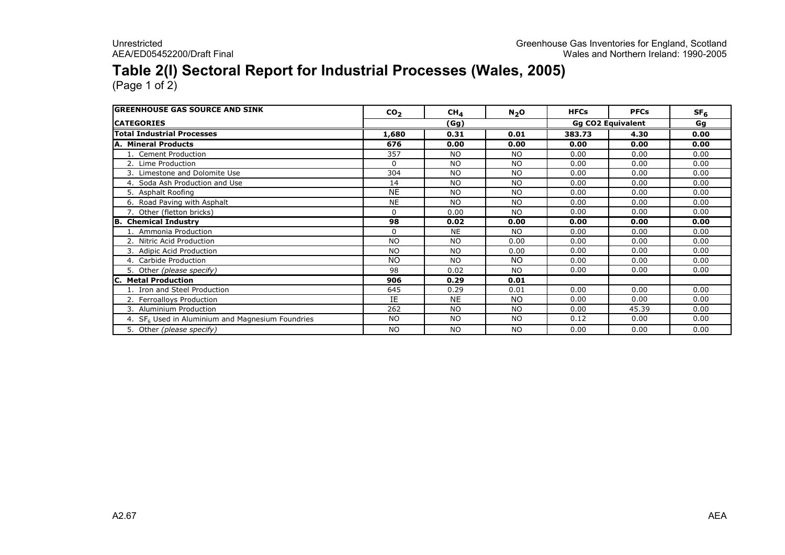### Table 2(I) Sectoral Report for Industrial Processes (Wales, 2005)

| <b>IGREENHOUSE GAS SOURCE AND SINK</b>             | CO <sub>2</sub> | $CH_{4}$  | $N_2$ O                  | <b>HFCs</b> | <b>PFCs</b> | SF <sub>6</sub> |
|----------------------------------------------------|-----------------|-----------|--------------------------|-------------|-------------|-----------------|
| <b>ICATEGORIES</b>                                 | (Gg)            |           | <b>Gg CO2 Equivalent</b> |             | Gg          |                 |
| <b>Total Industrial Processes</b>                  | 1,680           | 0.31      | 0.01                     | 383.73      | 4.30        | 0.00            |
| <b>A. Mineral Products</b>                         | 676             | 0.00      | 0.00                     | 0.00        | 0.00        | 0.00            |
| 1. Cement Production                               | 357             | <b>NO</b> | <b>NO</b>                | 0.00        | 0.00        | 0.00            |
| 2. Lime Production                                 | $\Omega$        | <b>NO</b> | <b>NO</b>                | 0.00        | 0.00        | 0.00            |
| 3. Limestone and Dolomite Use                      | 304             | <b>NO</b> | <b>NO</b>                | 0.00        | 0.00        | 0.00            |
| 4. Soda Ash Production and Use                     | 14              | <b>NO</b> | <b>NO</b>                | 0.00        | 0.00        | 0.00            |
| 5. Asphalt Roofing                                 | <b>NE</b>       | <b>NO</b> | <b>NO</b>                | 0.00        | 0.00        | 0.00            |
| 6. Road Paving with Asphalt                        | <b>NE</b>       | <b>NO</b> | <b>NO</b>                | 0.00        | 0.00        | 0.00            |
| 7. Other (fletton bricks)                          | $\mathbf{0}$    | 0.00      | <b>NO</b>                | 0.00        | 0.00        | 0.00            |
| <b>B.</b> Chemical Industry                        | 98              | 0.02      | 0.00                     | 0.00        | 0.00        | 0.00            |
| 1. Ammonia Production                              | $\Omega$        | <b>NE</b> | <b>NO</b>                | 0.00        | 0.00        | 0.00            |
| 2. Nitric Acid Production                          | <b>NO</b>       | <b>NO</b> | 0.00                     | 0.00        | 0.00        | 0.00            |
| 3. Adipic Acid Production                          | <b>NO</b>       | <b>NO</b> | 0.00                     | 0.00        | 0.00        | 0.00            |
| 4. Carbide Production                              | <b>NO</b>       | <b>NO</b> | NO                       | 0.00        | 0.00        | 0.00            |
| 5. Other (please specify)                          | 98              | 0.02      | <b>NO</b>                | 0.00        | 0.00        | 0.00            |
| <b>Metal Production</b>                            | 906             | 0.29      | 0.01                     |             |             |                 |
| 1. Iron and Steel Production                       | 645             | 0.29      | 0.01                     | 0.00        | 0.00        | 0.00            |
| 2. Ferroalloys Production                          | IE              | <b>NE</b> | NO                       | 0.00        | 0.00        | 0.00            |
| 3. Aluminium Production                            | 262             | <b>NO</b> | <b>NO</b>                | 0.00        | 45.39       | 0.00            |
| 4. $SF6$ Used in Aluminium and Magnesium Foundries | <b>NO</b>       | <b>NO</b> | <b>NO</b>                | 0.12        | 0.00        | 0.00            |
| 5. Other (please specify)                          | <b>NO</b>       | <b>NO</b> | <b>NO</b>                | 0.00        | 0.00        | 0.00            |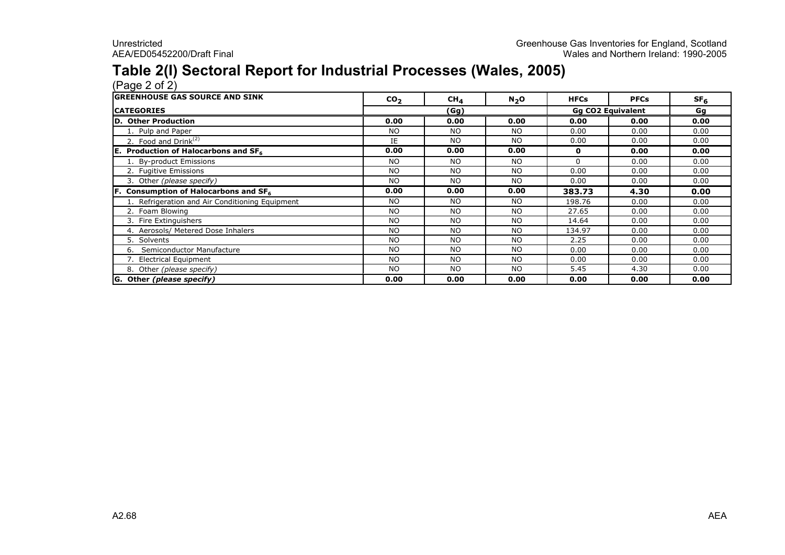### Table 2(I) Sectoral Report for Industrial Processes (Wales, 2005)

(Page 2 of 2) GREENHOUSE GAS SOURCE AND SINK CO<sub>2</sub> 2 | CH<sub>4</sub> | N<sub>2</sub>O | HFCs | PFCs | SF<sub>6</sub> **CATEGORIES**  Gg D. Other Production 0.00 0.00 0.00 0.00 0.00 0.00 1. Pulp and Paper NO NO NO 0.00 0.00 0.00 2. Food and  $Drink^{(2)}$  IE E | NO | NO | 0.00 | 0.00 | 0.00<br>22 | 2.22 | 2.23 | 2.23 | 2.23 | 2.23 E. Production of Halocarbons and  $SF_{6}$  $\begin{array}{|c|c|c|c|c|c|c|c|c|} \hline \text{0.00} & \text{0.00} & \text{0.00} & \text{0.00} & \text{0.00} & \text{0.00} \ \hline \end{array}$ 1. By-product EmissionsNO NO NO NO 0 0.00 0.00<br>مورد المستخدم المستخدم المستخدم المستخدم المستخدم المستخدم المستخدم المستخدم المستخدم المستخدم المستخدم المستخ<br>المستخدم المستخدم المستخدم المستخدم المستخدم المستخدم المستخدم المستخدم المستخدم المست 2. Fugitive Emissions NO NO NO 0.00 0.00 0.00 3. Other (please specify) NO NO NO 0.00 0.00 0.00 F. Consumption of Halocarbons and  $SF<sub>6</sub>$  0.00 0.00 0.00 383.73 4.30 0.00 1. Refrigeration and Air Conditioning Equipment 198.76 198.76 10.00 198.76 10.00 0.00<br>1. Toam Blowing 1. Conditioning Equipment 198.76 10.00 10.00 10.00 10.00 10.00 10.00 0.00 2. Foam Blowing NO NO NO 27.65 0.00 0.00 3. Fire ExtinguishersNO NO NO NO 14.64 0.00 0.00<br>است الملك الملك الملك الملك الملك الملك الملك الملك الملك الملك الملك الملك الملك الملك الملك الملك الملك الم<br>الملك الملك الملك الملك الملك الملك الملك الملك الملك الملك الملك الملك الملك الملك 4. Aerosols/ Metered Dose InhalersNO NO NO NO 134.97 0.00 0.00<br>مورد المساحة المساحة المساحة المساحة المساحة المساحة المساحة المساحة المساحة المساحة المساحة المساحة المساحة ا 5. SolventsS<br>NO NO NO NO 2.25 0.00 0.00<br>NO NO NO NO 0.00 0.00 0.00 6. Semiconductor Manufacture NO NO NO 0.00 0.00 0.00 7. Electrical Equipment NO NO NO 0.00 0.00 0.00 8. Other (please specify) NO NO NO NO 5.45 4.30 0.00<br>
and the contract of the contract of the contract of the contract of the contract of the contract of the contra G. Other (please specify) 0.00 0.00 0.00 0.00 0.00 0.00 (Gg) Gg CO2 Equivalent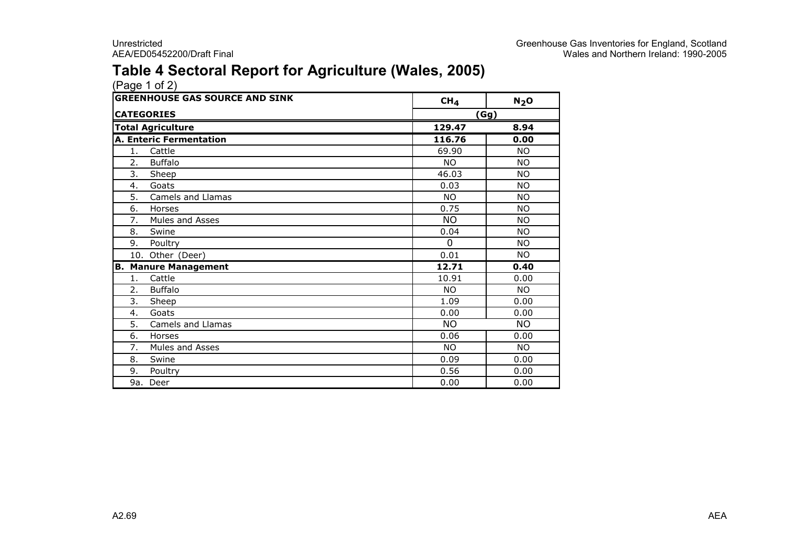### Table 4 Sectoral Report for Agriculture (Wales, 2005)

|                   | <b>GREENHOUSE GAS SOURCE AND SINK</b> | CH <sub>4</sub> | $N_2$ O   |
|-------------------|---------------------------------------|-----------------|-----------|
| <b>CATEGORIES</b> |                                       |                 | (Gg)      |
|                   | <b>Total Agriculture</b>              | 129.47          | 8.94      |
|                   | <b>A. Enteric Fermentation</b>        | 116.76          | 0.00      |
| 1.                | Cattle                                | 69.90           | <b>NO</b> |
| 2.                | <b>Buffalo</b>                        | <b>NO</b>       | <b>NO</b> |
| 3.                | Sh <u>eep</u>                         | 46.03           | <b>NO</b> |
| 4.                | Goats                                 | 0.03            | <b>NO</b> |
| 5.                | Camels and Llamas                     | <b>NO</b>       | <b>NO</b> |
| 6.                | Horses                                | 0.75            | <b>NO</b> |
| 7.                | Mules and Asses                       | <b>NO</b>       | <b>NO</b> |
| 8.                | Swine                                 | 0.04            | <b>NO</b> |
| 9.                | Poultry                               | $\Omega$        | <b>NO</b> |
|                   | 10. Other (Deer)                      | 0.01            | <b>NO</b> |
|                   | <b>B. Manure Management</b>           | 12.71           | 0.40      |
| 1.                | Cattle                                | 10.91           | 0.00      |
| 2.                | <b>Buffalo</b>                        | <b>NO</b>       | <b>NO</b> |
| 3.                | Sheep                                 | 1.09            | 0.00      |
| 4.                | Goats                                 | 0.00            | 0.00      |
| 5.                | Camels and Llamas                     | <b>NO</b>       | <b>NO</b> |
| 6.                | Horses                                | 0.06            | 0.00      |
| 7.                | Mules and Asses                       | <b>NO</b>       | <b>NO</b> |
| 8.                | Swine                                 | 0.09            | 0.00      |
| 9.                | Poultry                               | 0.56            | 0.00      |
|                   | 9a. Deer                              | 0.00            | 0.00      |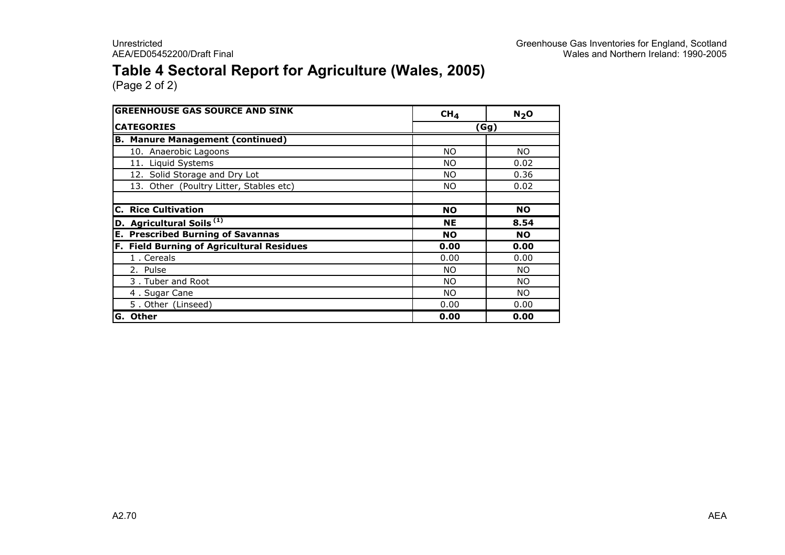### Table 4 Sectoral Report for Agriculture (Wales, 2005)

| <b>GREENHOUSE GAS SOURCE AND SINK</b>            | CH <sub>4</sub> | N <sub>2</sub> O |
|--------------------------------------------------|-----------------|------------------|
| <b>CATEGORIES</b>                                | (Gg)            |                  |
| <b>B. Manure Management (continued)</b>          |                 |                  |
| 10. Anaerobic Lagoons                            | NO.             | NO.              |
| 11. Liquid Systems                               | NO.             | 0.02             |
| 12. Solid Storage and Dry Lot                    | NO.             | 0.36             |
| 13. Other (Poultry Litter, Stables etc)          | NO.             | 0.02             |
|                                                  |                 |                  |
| <b>C. Rice Cultivation</b>                       | <b>NO</b>       | <b>NO</b>        |
| D. Agricultural Soils <sup>(1)</sup>             | <b>NE</b>       | 8.54             |
| <b>E. Prescribed Burning of Savannas</b>         | <b>NO</b>       | <b>NO</b>        |
| <b>F. Field Burning of Agricultural Residues</b> | 0.00            | 0.00             |
| 1. Cereals                                       | 0.00            | 0.00             |
| 2. Pulse                                         | NO.             | NO.              |
| 3. Tuber and Root                                | NO.             | NO.              |
| 4. Sugar Cane                                    | NO.             | NO.              |
| 5. Other (Linseed)                               | 0.00            | 0.00             |
| <b>Other</b><br>G.                               | 0.00            | 0.00             |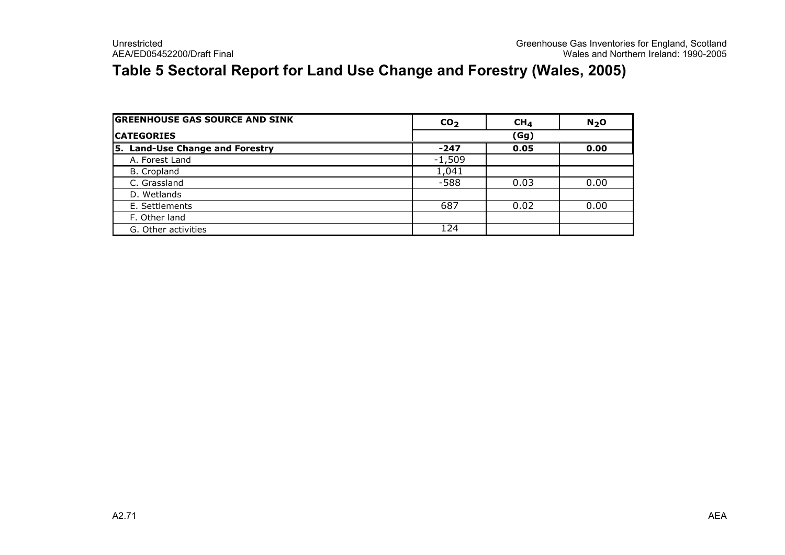### Table 5 Sectoral Report for Land Use Change and Forestry (Wales, 2005)

| <b>GREENHOUSE GAS SOURCE AND SINK</b> | CO <sub>2</sub> | CH <sub>4</sub> | N <sub>2</sub> O |  |
|---------------------------------------|-----------------|-----------------|------------------|--|
| <b>ICATEGORIES</b>                    | (Gg)            |                 |                  |  |
| 5. Land-Use Change and Forestry       | $-247$          | 0.05            | 0.00             |  |
| A. Forest Land                        | $-1,509$        |                 |                  |  |
| <b>B.</b> Cropland                    | 1,041           |                 |                  |  |
| C. Grassland                          | $-588$          | 0.03            | 0.00             |  |
| D. Wetlands                           |                 |                 |                  |  |
| E. Settlements                        | 687             | 0.02            | 0.00             |  |
| F. Other land                         |                 |                 |                  |  |
| G. Other activities                   | 124             |                 |                  |  |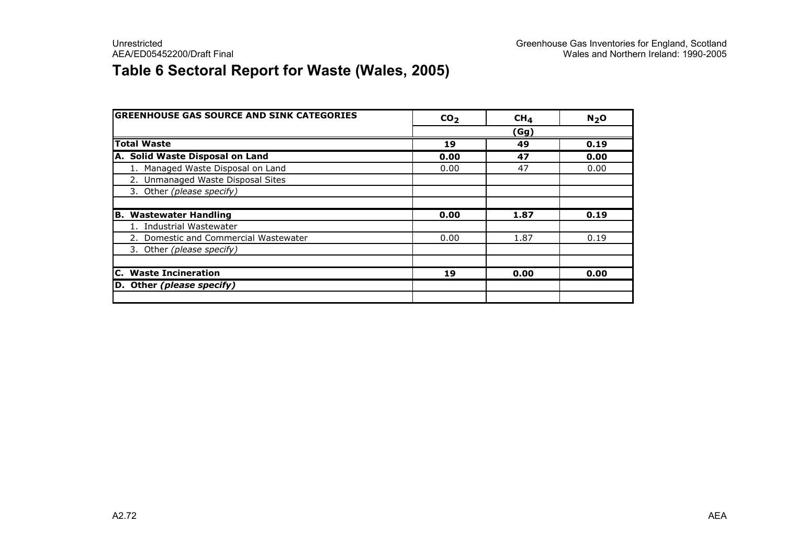### Table 6 Sectoral Report for Waste (Wales, 2005)

| <b>GREENHOUSE GAS SOURCE AND SINK CATEGORIES</b> | CO <sub>2</sub> | CH <sub>4</sub> | N <sub>2</sub> O |
|--------------------------------------------------|-----------------|-----------------|------------------|
|                                                  |                 | (Gg)            |                  |
| <b>Total Waste</b>                               | 19              | 49              | 0.19             |
| A. Solid Waste Disposal on Land                  | 0.00            | 47              | 0.00             |
| 1. Managed Waste Disposal on Land                | 0.00            | 47              | 0.00             |
| 2. Unmanaged Waste Disposal Sites                |                 |                 |                  |
| 3. Other (please specify)                        |                 |                 |                  |
|                                                  |                 |                 |                  |
| <b>B. Wastewater Handling</b>                    | 0.00            | 1.87            | 0.19             |
| 1. Industrial Wastewater                         |                 |                 |                  |
| 2. Domestic and Commercial Wastewater            | 0.00            | 1.87            | 0.19             |
| 3. Other (please specify)                        |                 |                 |                  |
|                                                  |                 |                 |                  |
| C. Waste Incineration                            | 19              | 0.00            | 0.00             |
| D. Other (please specify)                        |                 |                 |                  |
|                                                  |                 |                 |                  |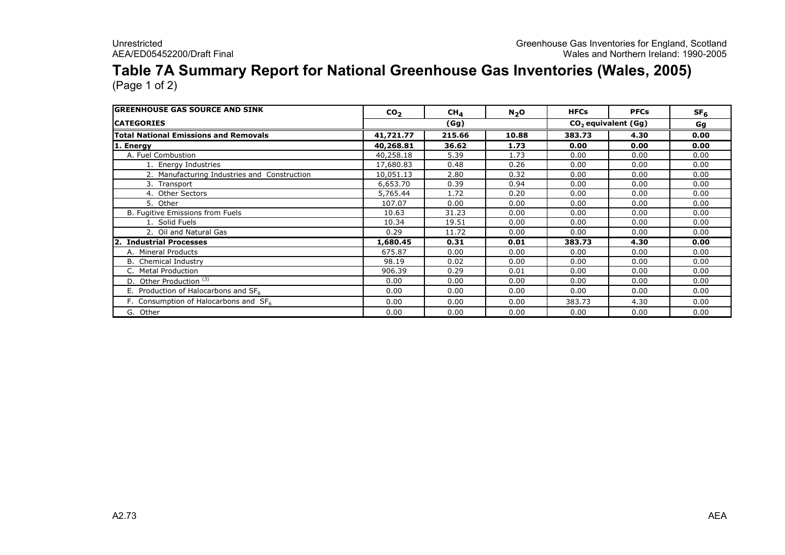## Table 7A Summary Report for National Greenhouse Gas Inventories (Wales, 2005)

| <b>IGREENHOUSE GAS SOURCE AND SINK</b>            | CO <sub>2</sub> | $CH_{4}$ | $N_2$ O | <b>HFCs</b>           | <b>PFCs</b> | SF <sub>6</sub> |
|---------------------------------------------------|-----------------|----------|---------|-----------------------|-------------|-----------------|
| <b>ICATEGORIES</b>                                |                 | (Gg)     |         | $CO2$ equivalent (Gg) | Gg          |                 |
| <b>Total National Emissions and Removals</b>      | 41,721.77       | 215.66   | 10.88   | 383.73                | 4.30        | 0.00            |
| 1. Energy                                         | 40,268.81       | 36.62    | 1.73    | 0.00                  | 0.00        | 0.00            |
| A. Fuel Combustion                                | 40,258.18       | 5.39     | 1.73    | 0.00                  | 0.00        | 0.00            |
| L. Energy Industries                              | 17,680.83       | 0.48     | 0.26    | 0.00                  | 0.00        | 0.00            |
| 2. Manufacturing Industries and Construction      | 10,051.13       | 2.80     | 0.32    | 0.00                  | 0.00        | 0.00            |
| 3. Transport                                      | 6,653.70        | 0.39     | 0.94    | 0.00                  | 0.00        | 0.00            |
| 4. Other Sectors                                  | 5,765.44        | 1.72     | 0.20    | 0.00                  | 0.00        | 0.00            |
| 5. Other                                          | 107.07          | 0.00     | 0.00    | 0.00                  | 0.00        | 0.00            |
| B. Fugitive Emissions from Fuels                  | 10.63           | 31.23    | 0.00    | 0.00                  | 0.00        | 0.00            |
| 1. Solid Fuels                                    | 10.34           | 19.51    | 0.00    | 0.00                  | 0.00        | 0.00            |
| 2. Oil and Natural Gas                            | 0.29            | 11.72    | 0.00    | 0.00                  | 0.00        | 0.00            |
| 2. Industrial Processes                           | 1,680.45        | 0.31     | 0.01    | 383.73                | 4.30        | 0.00            |
| A. Mineral Products                               | 675.87          | 0.00     | 0.00    | 0.00                  | 0.00        | 0.00            |
| <b>B.</b> Chemical Industry                       | 98.19           | 0.02     | 0.00    | 0.00                  | 0.00        | 0.00            |
| C. Metal Production                               | 906.39          | 0.29     | 0.01    | 0.00                  | 0.00        | 0.00            |
| D. Other Production <sup>(3)</sup>                | 0.00            | 0.00     | 0.00    | 0.00                  | 0.00        | 0.00            |
| E. Production of Halocarbons and $SF6$            | 0.00            | 0.00     | 0.00    | 0.00                  | 0.00        | 0.00            |
| F. Consumption of Halocarbons and SF <sub>6</sub> | 0.00            | 0.00     | 0.00    | 383.73                | 4.30        | 0.00            |
| G.<br>Other                                       | 0.00            | 0.00     | 0.00    | 0.00                  | 0.00        | 0.00            |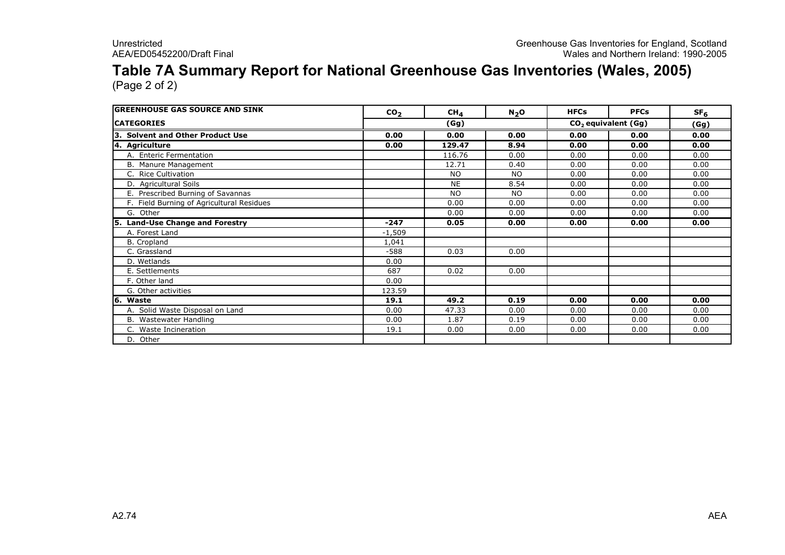## Table 7A Summary Report for National Greenhouse Gas Inventories (Wales, 2005)

| <b>GREENHOUSE GAS SOURCE AND SINK</b>     | CO <sub>2</sub> | $CH_{4}$  | N <sub>2</sub> O | <b>HFCs</b> | <b>PFCs</b>                     | SF <sub>6</sub> |
|-------------------------------------------|-----------------|-----------|------------------|-------------|---------------------------------|-----------------|
| <b>CATEGORIES</b>                         |                 | (Gg)      |                  |             | CO <sub>2</sub> equivalent (Gg) | (Gg)            |
| 3. Solvent and Other Product Use          | 0.00            | 0.00      | 0.00             | 0.00        | 0.00                            | 0.00            |
| 4. Agriculture                            | 0.00            | 129.47    | 8.94             | 0.00        | 0.00                            | 0.00            |
| A. Enteric Fermentation                   |                 | 116.76    | 0.00             | 0.00        | 0.00                            | 0.00            |
| B. Manure Management                      |                 | 12.71     | 0.40             | 0.00        | 0.00                            | 0.00            |
| C. Rice Cultivation                       |                 | <b>NO</b> | NO.              | 0.00        | 0.00                            | 0.00            |
| D. Agricultural Soils                     |                 | <b>NE</b> | 8.54             | 0.00        | 0.00                            | 0.00            |
| E. Prescribed Burning of Savannas         |                 | <b>NO</b> | NO.              | 0.00        | 0.00                            | 0.00            |
| F. Field Burning of Agricultural Residues |                 | 0.00      | 0.00             | 0.00        | 0.00                            | 0.00            |
| G. Other                                  |                 | 0.00      | 0.00             | 0.00        | 0.00                            | 0.00            |
| 5. Land-Use Change and Forestry           | $-247$          | 0.05      | 0.00             | 0.00        | 0.00                            | 0.00            |
| A. Forest Land                            | $-1,509$        |           |                  |             |                                 |                 |
| B. Cropland                               | 1,041           |           |                  |             |                                 |                 |
| C. Grassland                              | $-588$          | 0.03      | 0.00             |             |                                 |                 |
| D. Wetlands                               | 0.00            |           |                  |             |                                 |                 |
| E. Settlements                            | 687             | 0.02      | 0.00             |             |                                 |                 |
| F. Other land                             | 0.00            |           |                  |             |                                 |                 |
| G. Other activities                       | 123.59          |           |                  |             |                                 |                 |
| 6. Waste                                  | 19.1            | 49.2      | 0.19             | 0.00        | 0.00                            | 0.00            |
| A. Solid Waste Disposal on Land           | 0.00            | 47.33     | 0.00             | 0.00        | 0.00                            | 0.00            |
| B. Wastewater Handling                    | 0.00            | 1.87      | 0.19             | 0.00        | 0.00                            | 0.00            |
| C. Waste Incineration                     | 19.1            | 0.00      | 0.00             | 0.00        | 0.00                            | 0.00            |
| D. Other                                  |                 |           |                  |             |                                 |                 |